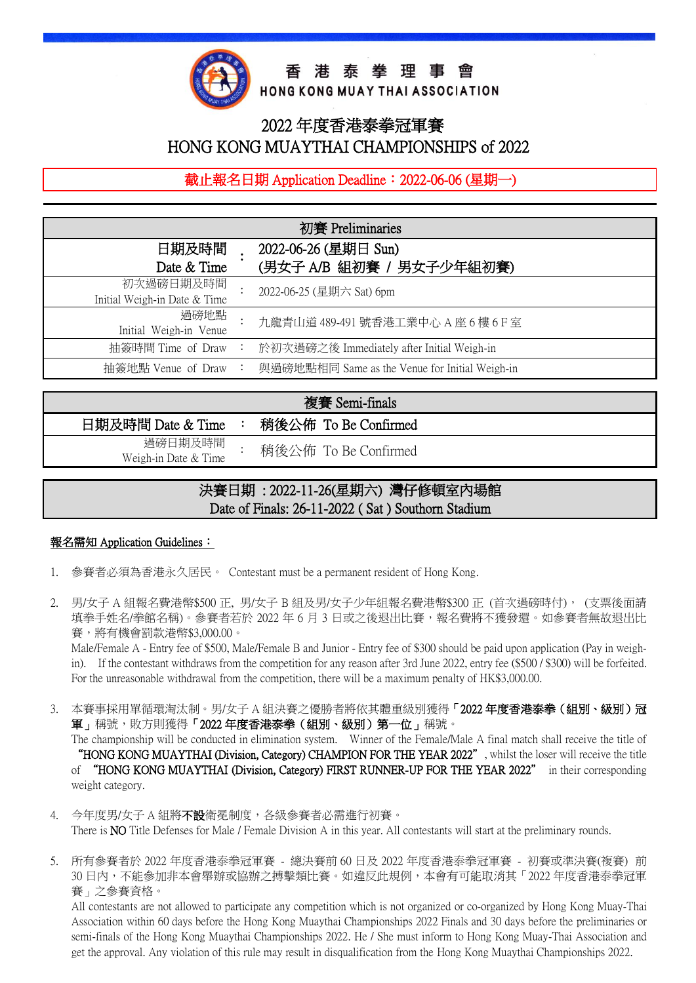

香港泰拳理事會

HONG KONG MUAY THAI ASSOCIATION

# 2022 年度香港泰拳冠軍賽 HONG KONG MUAYTHAI CHAMPIONSHIPS of 2022

截止報名日期 Application Deadline: 2022-06-06 (星期一)

| 初賽 Preliminaries                          |                |                                                  |  |  |
|-------------------------------------------|----------------|--------------------------------------------------|--|--|
| 日期及時間<br>Date & Time                      |                | 2022-06-26 (星期日 Sun)<br>(男女子 A/B 組初賽 / 男女子少年組初賽) |  |  |
| 初次過磅日期及時間<br>Initial Weigh-in Date & Time |                | 2022-06-25 (星期六 Sat) 6pm                         |  |  |
| 過磅地點<br>Initial Weigh-in Venue            |                | 九龍青山道 489-491 號香港工業中心 A 座 6 樓 6 F 室              |  |  |
| 抽簽時間 Time of Draw                         | ÷              | 於初次過磅之後 Immediately after Initial Weigh-in       |  |  |
| 抽簽地點 Venue of Draw                        | $\ddot{\cdot}$ | 與過磅地點相同 Same as the Venue for Initial Weigh-in   |  |  |
|                                           |                |                                                  |  |  |

#### 複賽 Semi-finals 日期及時間 Date & Time : 稍後公佈 To Be Confirmed 過磅日期及時間 Weigh-in Date & Time : 稍後公佈 To Be Confirmed

## l. 決賽日期 : 2022-11-26(星期六) 灣仔修頓室內場館 Date of Finals: 26-11-2022 ( Sat ) Southorn Stadium

### **報名需知 Application Guidelines:**

l

- 1. 參賽者必須為香港永久居民。 Contestant must be a permanent resident of Hong Kong.
- 2. 男/女子 A 組報名費港幣\$500 正, 男/女子 B 組及男/女子少年組報名費港幣\$300 正 (首次過磅時付), (支票後面請 填拳手姓名/拳館名稱)。參賽者若於 2022 年 6 月 3 日或之後退出比賽,報名費將不獲發還。如參賽者無故退出比 賽,將有機會罰款港幣\$3,000.00。

Male/Female A - Entry fee of \$500, Male/Female B and Junior - Entry fee of \$300 should be paid upon application (Pay in weighin). If the contestant withdraws from the competition for any reason after 3rd June 2022, entry fee (\$500 / \$300) will be forfeited. For the unreasonable withdrawal from the competition, there will be a maximum penalty of HK\$3,000.00.

- 3. 本賽事採用單循環淘汰制。男/女子 A 組決賽之優勝者將依其體重級別獲得「2022 年度香港泰拳(組別、級別)冠 軍」稱號,敗方則獲得「2022年度香港泰拳(組別、級別)第一位」稱號。 The championship will be conducted in elimination system. Winner of the Female/Male A final match shall receive the title of "HONG KONG MUAYTHAI (Division, Category) CHAMPION FOR THE YEAR 2022", whilst the loser will receive the title of "HONG KONG MUAYTHAI (Division, Category) FIRST RUNNER-UP FOR THE YEAR 2022" in their corresponding weight category.
- 4. 今年度男/女子 A 組將不設衛冕制度,各級參賽者必需進行初賽。 There is NO Title Defenses for Male / Female Division A in this year. All contestants will start at the preliminary rounds.
- 5. 所有參賽者於 2022 年度香港泰拳冠軍賽 總決賽前 60 日及 2022 年度香港泰拳冠軍賽 初賽或準決賽(複賽) 前 30 日内,不能参加非本會舉辦或協辦之搏擊類比賽。如違反此規例,本會有可能取消其「2022 年度香港泰拳冠軍 賽」之參賽資格。

All contestants are not allowed to participate any competition which is not organized or co-organized by Hong Kong Muay-Thai Association within 60 days before the Hong Kong Muaythai Championships 2022 Finals and 30 days before the preliminaries or semi-finals of the Hong Kong Muaythai Championships 2022. He / She must inform to Hong Kong Muay-Thai Association and get the approval. Any violation of this rule may result in disqualification from the Hong Kong Muaythai Championships 2022.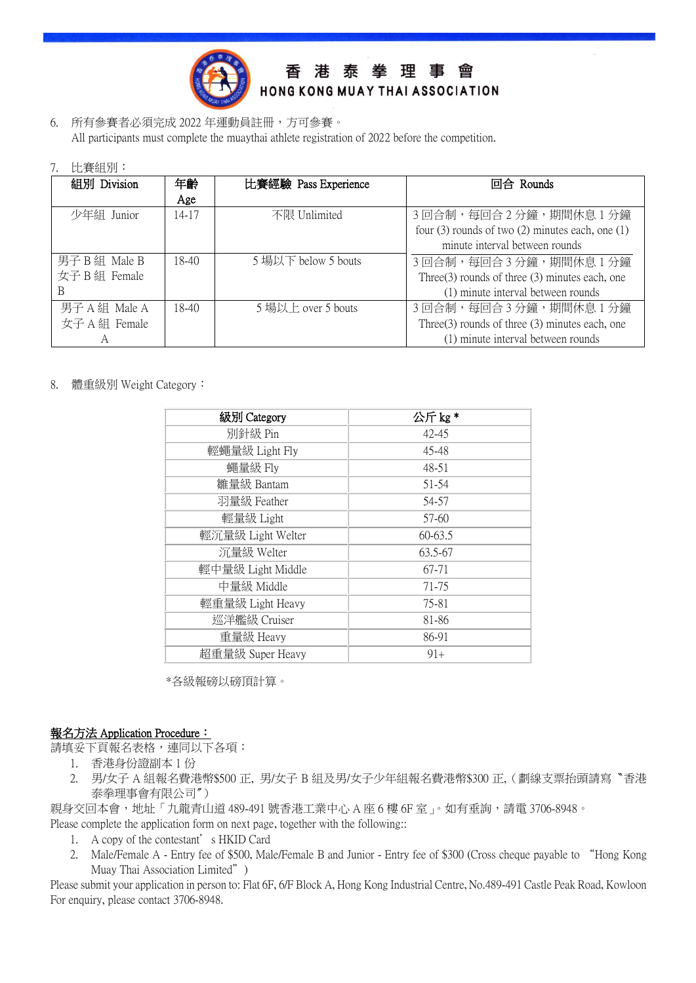

香港泰拳理事會 HONG KONG MUAY THAI ASSOCIATION

6. 所有參賽者必須完成 2022 年運動員註冊,方可參賽。 All participants must complete the muaythai athlete registration of 2022 before the competition.

|  | 7. | 比賽組別 |  |
|--|----|------|--|
|--|----|------|--|

| 組別 Division   | 年齡    | 比賽經驗 Pass Experience | 回合 Rounds                                              |  |
|---------------|-------|----------------------|--------------------------------------------------------|--|
|               | Age   |                      |                                                        |  |
| 少年組 Junior    | 14-17 | 不限 Unlimited         | 3回合制,每回合2分鐘,期間休息1分鐘                                    |  |
|               |       |                      | four $(3)$ rounds of two $(2)$ minutes each, one $(1)$ |  |
|               |       |                      | minute interval between rounds                         |  |
| 男子 B 組 Male B | 18-40 | 5 場以下 below 5 bouts  | 3回合制,每回合3分鐘,期間休息1分鐘                                    |  |
| 女子 B 組 Female |       |                      | Three $(3)$ rounds of three $(3)$ minutes each, one    |  |
| B             |       |                      | (1) minute interval between rounds                     |  |
| 男子 A 組 Male A | 18-40 | 5 場以上 over 5 bouts   | 3回合制,每回合3分鐘,期間休息1分鐘                                    |  |
| 女子 A 組 Female |       |                      | Three $(3)$ rounds of three $(3)$ minutes each, one    |  |
| А             |       |                      | (1) minute interval between rounds                     |  |

8. 體重級別 Weight Category:

| 級別 Category       | 公斤kg*     |
|-------------------|-----------|
| 別針級 Pin           | 42-45     |
| 輕蠅量級 Light Fly    | 45-48     |
| 蠅量級 Fly           | 48-51     |
| 雛量級 Bantam        | 51-54     |
| 羽量級 Feather       | 54-57     |
| 輕量級 Light         | 57-60     |
| 輕沉量級 Light Welter | $60-63.5$ |
| 沉量級 Welter        | 63.5-67   |
| 輕中量級 Light Middle | 67-71     |
| 中量級 Middle        | 71-75     |
| 輕重量級 Light Heavy  | 75-81     |
| 巡洋艦級 Cruiser      | 81-86     |
| 重量級 Heavy         | 86-91     |
| 超重量級 Super Heavy  | $91+$     |

\*各級報磅以磅頂計算。

#### **報名方法 Application Procedure:**

請填妥下頁報名表格,連同以下各項:

- 1. 香港身份證副本 1 份
- 2. 男/女子 A 組報名費港幣\$500 正, 男/女子 B 組及男/女子少年組報名費港幣\$300 正,(劃線支票抬頭請寫〝香港 泰拳理事會有限公司〞)
- 親身交回本會,地址「九龍青山道 489-491 號香港工業中心 A 座 6 樓 6F 室」。如有垂詢,請電 3706-8948。 Please complete the application form on next page, together with the following::
	- 1. A copy of the contestant's HKID Card
	- 2. Male/Female A Entry fee of \$500, Male/Female B and Junior Entry fee of \$300 (Cross cheque payable to "Hong Kong Muay Thai Association Limited")

Please submit your application in person to: Flat 6F, 6/F Block A, Hong Kong Industrial Centre, No.489-491 Castle Peak Road, Kowloon For enquiry, please contact 3706-8948.